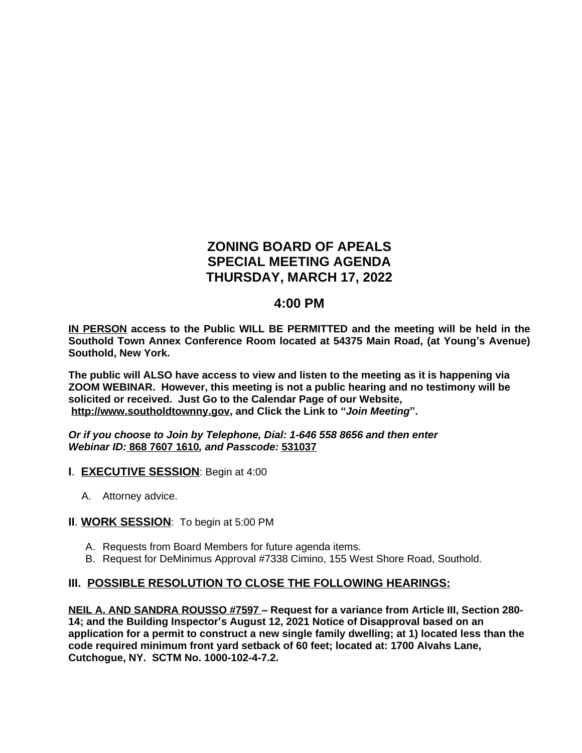# **ZONING BOARD OF APEALS SPECIAL MEETING AGENDA THURSDAY, MARCH 17, 2022**

# **4:00 PM**

**IN PERSON access to the Public WILL BE PERMITTED and the meeting will be held in the Southold Town Annex Conference Room located at 54375 Main Road, (at Young's Avenue) Southold, New York.**

**The public will ALSO have access to view and listen to the meeting as it is happening via ZOOM WEBINAR. However, this meeting is not a public hearing and no testimony will be solicited or received. Just Go to the Calendar Page of our Website, [http://www.southoldtownny.gov,](http://www.southoldtownny.gov) and Click the Link to "***Join Meeting***".**

*Or if you choose to Join by Telephone, Dial: 1-646 558 8656 and then enter Webinar ID:* **868 7607 1610***, and Passcode:* **531037**

- **I**. **EXECUTIVE SESSION**: Begin at 4:00
	- A. Attorney advice.

### **II**. **WORK SESSION**: To begin at 5:00 PM

- A. Requests from Board Members for future agenda items.
- B. Request for DeMinimus Approval #7338 Cimino, 155 West Shore Road, Southold.

### **III. POSSIBLE RESOLUTION TO CLOSE THE FOLLOWING HEARINGS:**

**NEIL A. AND SANDRA ROUSSO #7597 – Request for a variance from Article III, Section 280- 14; and the Building Inspector's August 12, 2021 Notice of Disapproval based on an application for a permit to construct a new single family dwelling; at 1) located less than the code required minimum front yard setback of 60 feet; located at: 1700 Alvahs Lane, Cutchogue, NY. SCTM No. 1000-102-4-7.2.**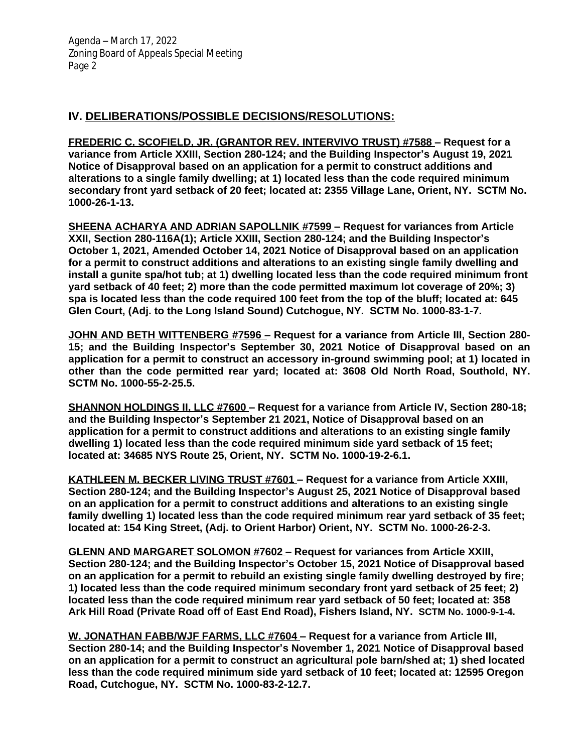# **IV. DELIBERATIONS/POSSIBLE DECISIONS/RESOLUTIONS:**

**FREDERIC C. SCOFIELD, JR. (GRANTOR REV. INTERVIVO TRUST) #7588 – Request for a variance from Article XXIII, Section 280-124; and the Building Inspector's August 19, 2021 Notice of Disapproval based on an application for a permit to construct additions and alterations to a single family dwelling; at 1) located less than the code required minimum secondary front yard setback of 20 feet; located at: 2355 Village Lane, Orient, NY. SCTM No. 1000-26-1-13.** 

**SHEENA ACHARYA AND ADRIAN SAPOLLNIK #7599 – Request for variances from Article XXII, Section 280-116A(1); Article XXIII, Section 280-124; and the Building Inspector's October 1, 2021, Amended October 14, 2021 Notice of Disapproval based on an application for a permit to construct additions and alterations to an existing single family dwelling and install a gunite spa/hot tub; at 1) dwelling located less than the code required minimum front yard setback of 40 feet; 2) more than the code permitted maximum lot coverage of 20%; 3) spa is located less than the code required 100 feet from the top of the bluff; located at: 645 Glen Court, (Adj. to the Long Island Sound) Cutchogue, NY. SCTM No. 1000-83-1-7.** 

**JOHN AND BETH WITTENBERG #7596 – Request for a variance from Article III, Section 280- 15; and the Building Inspector's September 30, 2021 Notice of Disapproval based on an application for a permit to construct an accessory in-ground swimming pool; at 1) located in other than the code permitted rear yard; located at: 3608 Old North Road, Southold, NY. SCTM No. 1000-55-2-25.5.**

**SHANNON HOLDINGS II, LLC #7600 – Request for a variance from Article IV, Section 280-18; and the Building Inspector's September 21 2021, Notice of Disapproval based on an application for a permit to construct additions and alterations to an existing single family dwelling 1) located less than the code required minimum side yard setback of 15 feet; located at: 34685 NYS Route 25, Orient, NY. SCTM No. 1000-19-2-6.1.** 

**KATHLEEN M. BECKER LIVING TRUST #7601 – Request for a variance from Article XXIII, Section 280-124; and the Building Inspector's August 25, 2021 Notice of Disapproval based on an application for a permit to construct additions and alterations to an existing single family dwelling 1) located less than the code required minimum rear yard setback of 35 feet; located at: 154 King Street, (Adj. to Orient Harbor) Orient, NY. SCTM No. 1000-26-2-3.** 

**GLENN AND MARGARET SOLOMON #7602 – Request for variances from Article XXIII, Section 280-124; and the Building Inspector's October 15, 2021 Notice of Disapproval based on an application for a permit to rebuild an existing single family dwelling destroyed by fire; 1) located less than the code required minimum secondary front yard setback of 25 feet; 2) located less than the code required minimum rear yard setback of 50 feet; located at: 358 Ark Hill Road (Private Road off of East End Road), Fishers Island, NY. SCTM No. 1000-9-1-4.**

**W. JONATHAN FABB/WJF FARMS, LLC #7604 – Request for a variance from Article III, Section 280-14; and the Building Inspector's November 1, 2021 Notice of Disapproval based on an application for a permit to construct an agricultural pole barn/shed at; 1) shed located less than the code required minimum side yard setback of 10 feet; located at: 12595 Oregon Road, Cutchogue, NY. SCTM No. 1000-83-2-12.7.**